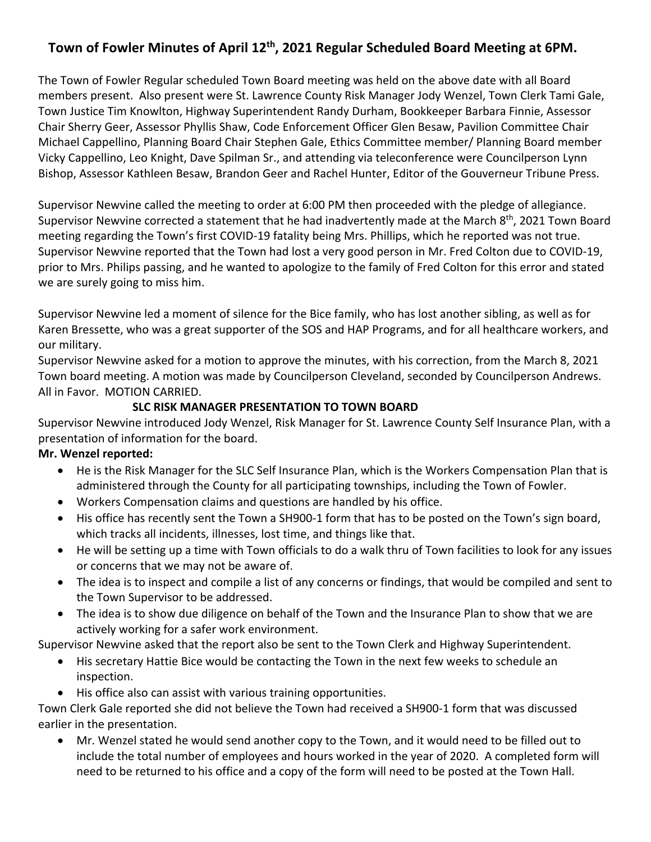# **Town of Fowler Minutes of April 12th, 2021 Regular Scheduled Board Meeting at 6PM.**

The Town of Fowler Regular scheduled Town Board meeting was held on the above date with all Board members present. Also present were St. Lawrence County Risk Manager Jody Wenzel, Town Clerk Tami Gale, Town Justice Tim Knowlton, Highway Superintendent Randy Durham, Bookkeeper Barbara Finnie, Assessor Chair Sherry Geer, Assessor Phyllis Shaw, Code Enforcement Officer Glen Besaw, Pavilion Committee Chair Michael Cappellino, Planning Board Chair Stephen Gale, Ethics Committee member/ Planning Board member Vicky Cappellino, Leo Knight, Dave Spilman Sr., and attending via teleconference were Councilperson Lynn Bishop, Assessor Kathleen Besaw, Brandon Geer and Rachel Hunter, Editor of the Gouverneur Tribune Press.

Supervisor Newvine called the meeting to order at 6:00 PM then proceeded with the pledge of allegiance. Supervisor Newvine corrected a statement that he had inadvertently made at the March 8<sup>th</sup>, 2021 Town Board meeting regarding the Town's first COVID-19 fatality being Mrs. Phillips, which he reported was not true. Supervisor Newvine reported that the Town had lost a very good person in Mr. Fred Colton due to COVID-19, prior to Mrs. Philips passing, and he wanted to apologize to the family of Fred Colton for this error and stated we are surely going to miss him.

Supervisor Newvine led a moment of silence for the Bice family, who has lost another sibling, as well as for Karen Bressette, who was a great supporter of the SOS and HAP Programs, and for all healthcare workers, and our military.

Supervisor Newvine asked for a motion to approve the minutes, with his correction, from the March 8, 2021 Town board meeting. A motion was made by Councilperson Cleveland, seconded by Councilperson Andrews. All in Favor. MOTION CARRIED.

#### **SLC RISK MANAGER PRESENTATION TO TOWN BOARD**

Supervisor Newvine introduced Jody Wenzel, Risk Manager for St. Lawrence County Self Insurance Plan, with a presentation of information for the board.

#### **Mr. Wenzel reported:**

- He is the Risk Manager for the SLC Self Insurance Plan, which is the Workers Compensation Plan that is administered through the County for all participating townships, including the Town of Fowler.
- Workers Compensation claims and questions are handled by his office.
- His office has recently sent the Town a SH900-1 form that has to be posted on the Town's sign board, which tracks all incidents, illnesses, lost time, and things like that.
- He will be setting up a time with Town officials to do a walk thru of Town facilities to look for any issues or concerns that we may not be aware of.
- The idea is to inspect and compile a list of any concerns or findings, that would be compiled and sent to the Town Supervisor to be addressed.
- The idea is to show due diligence on behalf of the Town and the Insurance Plan to show that we are actively working for a safer work environment.

Supervisor Newvine asked that the report also be sent to the Town Clerk and Highway Superintendent.

- His secretary Hattie Bice would be contacting the Town in the next few weeks to schedule an inspection.
- His office also can assist with various training opportunities.

Town Clerk Gale reported she did not believe the Town had received a SH900-1 form that was discussed earlier in the presentation.

• Mr. Wenzel stated he would send another copy to the Town, and it would need to be filled out to include the total number of employees and hours worked in the year of 2020. A completed form will need to be returned to his office and a copy of the form will need to be posted at the Town Hall.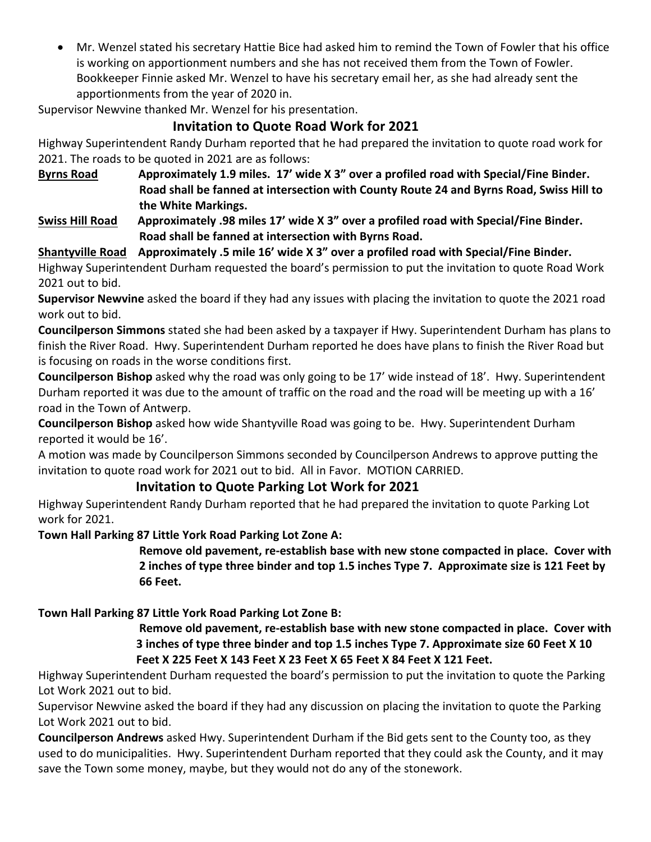• Mr. Wenzel stated his secretary Hattie Bice had asked him to remind the Town of Fowler that his office is working on apportionment numbers and she has not received them from the Town of Fowler. Bookkeeper Finnie asked Mr. Wenzel to have his secretary email her, as she had already sent the apportionments from the year of 2020 in.

Supervisor Newvine thanked Mr. Wenzel for his presentation.

# **Invitation to Quote Road Work for 2021**

Highway Superintendent Randy Durham reported that he had prepared the invitation to quote road work for 2021. The roads to be quoted in 2021 are as follows:

**Byrns Road Approximately 1.9 miles. 17' wide X 3" over a profiled road with Special/Fine Binder. Road shall be fanned at intersection with County Route 24 and Byrns Road, Swiss Hill to the White Markings.**

**Swiss Hill Road Approximately .98 miles 17' wide X 3" over a profiled road with Special/Fine Binder. Road shall be fanned at intersection with Byrns Road.**

## **Shantyville Road Approximately .5 mile 16' wide X 3" over a profiled road with Special/Fine Binder.**

Highway Superintendent Durham requested the board's permission to put the invitation to quote Road Work 2021 out to bid.

**Supervisor Newvine** asked the board if they had any issues with placing the invitation to quote the 2021 road work out to bid.

**Councilperson Simmons** stated she had been asked by a taxpayer if Hwy. Superintendent Durham has plans to finish the River Road. Hwy. Superintendent Durham reported he does have plans to finish the River Road but is focusing on roads in the worse conditions first.

**Councilperson Bishop** asked why the road was only going to be 17' wide instead of 18'. Hwy. Superintendent Durham reported it was due to the amount of traffic on the road and the road will be meeting up with a 16' road in the Town of Antwerp.

**Councilperson Bishop** asked how wide Shantyville Road was going to be. Hwy. Superintendent Durham reported it would be 16'.

A motion was made by Councilperson Simmons seconded by Councilperson Andrews to approve putting the invitation to quote road work for 2021 out to bid. All in Favor. MOTION CARRIED.

## **Invitation to Quote Parking Lot Work for 2021**

Highway Superintendent Randy Durham reported that he had prepared the invitation to quote Parking Lot work for 2021.

**Town Hall Parking 87 Little York Road Parking Lot Zone A:**

 **Remove old pavement, re-establish base with new stone compacted in place. Cover with 2 inches of type three binder and top 1.5 inches Type 7. Approximate size is 121 Feet by 66 Feet.**

### **Town Hall Parking 87 Little York Road Parking Lot Zone B:**

 **Remove old pavement, re-establish base with new stone compacted in place. Cover with 3 inches of type three binder and top 1.5 inches Type 7. Approximate size 60 Feet X 10 Feet X 225 Feet X 143 Feet X 23 Feet X 65 Feet X 84 Feet X 121 Feet.**

Highway Superintendent Durham requested the board's permission to put the invitation to quote the Parking Lot Work 2021 out to bid.

Supervisor Newvine asked the board if they had any discussion on placing the invitation to quote the Parking Lot Work 2021 out to bid.

**Councilperson Andrews** asked Hwy. Superintendent Durham if the Bid gets sent to the County too, as they used to do municipalities. Hwy. Superintendent Durham reported that they could ask the County, and it may save the Town some money, maybe, but they would not do any of the stonework.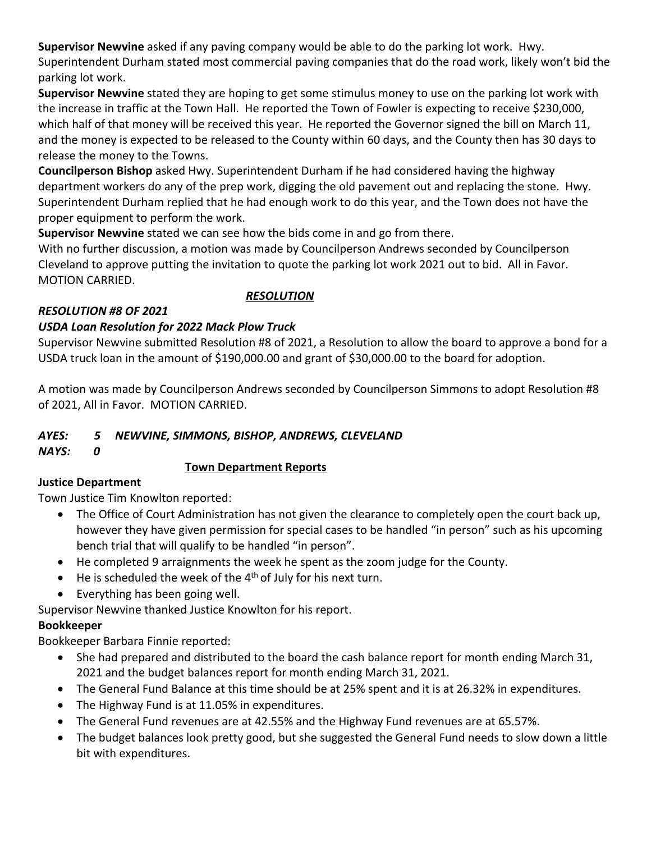**Supervisor Newvine** asked if any paving company would be able to do the parking lot work. Hwy. Superintendent Durham stated most commercial paving companies that do the road work, likely won't bid the parking lot work.

**Supervisor Newvine** stated they are hoping to get some stimulus money to use on the parking lot work with the increase in traffic at the Town Hall. He reported the Town of Fowler is expecting to receive \$230,000, which half of that money will be received this year. He reported the Governor signed the bill on March 11, and the money is expected to be released to the County within 60 days, and the County then has 30 days to release the money to the Towns.

**Councilperson Bishop** asked Hwy. Superintendent Durham if he had considered having the highway department workers do any of the prep work, digging the old pavement out and replacing the stone. Hwy. Superintendent Durham replied that he had enough work to do this year, and the Town does not have the proper equipment to perform the work.

**Supervisor Newvine** stated we can see how the bids come in and go from there.

With no further discussion, a motion was made by Councilperson Andrews seconded by Councilperson Cleveland to approve putting the invitation to quote the parking lot work 2021 out to bid. All in Favor. MOTION CARRIED.

 *RESOLUTION*

### *RESOLUTION #8 OF 2021*

### *USDA Loan Resolution for 2022 Mack Plow Truck*

Supervisor Newvine submitted Resolution #8 of 2021, a Resolution to allow the board to approve a bond for a USDA truck loan in the amount of \$190,000.00 and grant of \$30,000.00 to the board for adoption.

A motion was made by Councilperson Andrews seconded by Councilperson Simmons to adopt Resolution #8 of 2021, All in Favor. MOTION CARRIED.

### *AYES: 5 NEWVINE, SIMMONS, BISHOP, ANDREWS, CLEVELAND*

*NAYS: 0*

### **Town Department Reports**

#### **Justice Department**

Town Justice Tim Knowlton reported:

- The Office of Court Administration has not given the clearance to completely open the court back up, however they have given permission for special cases to be handled "in person" such as his upcoming bench trial that will qualify to be handled "in person".
- He completed 9 arraignments the week he spent as the zoom judge for the County.
- $\bullet$  He is scheduled the week of the 4<sup>th</sup> of July for his next turn.
- Everything has been going well.

Supervisor Newvine thanked Justice Knowlton for his report.

# **Bookkeeper**

Bookkeeper Barbara Finnie reported:

- She had prepared and distributed to the board the cash balance report for month ending March 31, 2021 and the budget balances report for month ending March 31, 2021.
- The General Fund Balance at this time should be at 25% spent and it is at 26.32% in expenditures.
- The Highway Fund is at 11.05% in expenditures.
- The General Fund revenues are at 42.55% and the Highway Fund revenues are at 65.57%.
- The budget balances look pretty good, but she suggested the General Fund needs to slow down a little bit with expenditures.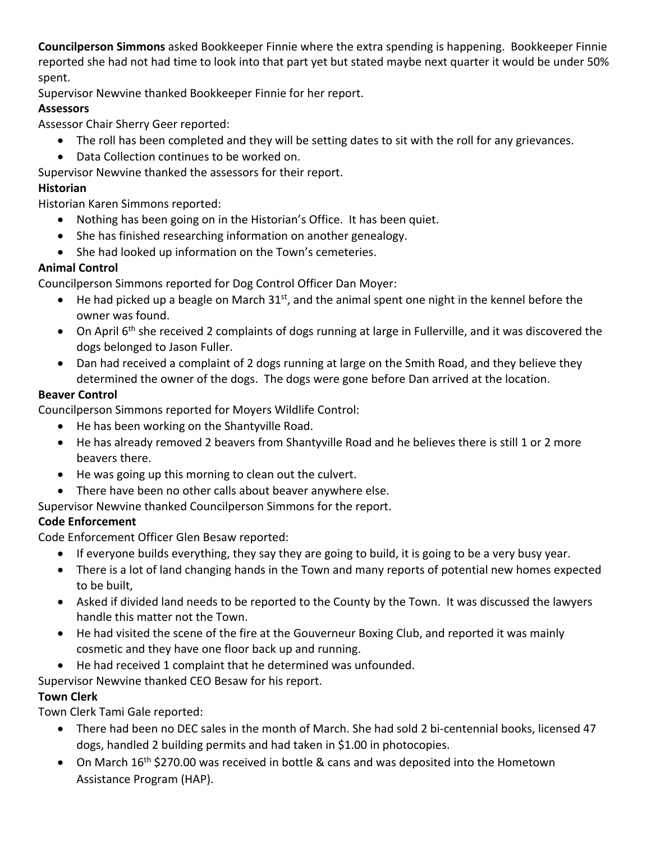**Councilperson Simmons** asked Bookkeeper Finnie where the extra spending is happening. Bookkeeper Finnie reported she had not had time to look into that part yet but stated maybe next quarter it would be under 50% spent.

Supervisor Newvine thanked Bookkeeper Finnie for her report.

## **Assessors**

Assessor Chair Sherry Geer reported:

- The roll has been completed and they will be setting dates to sit with the roll for any grievances.
- Data Collection continues to be worked on.

Supervisor Newvine thanked the assessors for their report.

# **Historian**

Historian Karen Simmons reported:

- Nothing has been going on in the Historian's Office. It has been quiet.
- She has finished researching information on another genealogy.
- She had looked up information on the Town's cemeteries.

# **Animal Control**

Councilperson Simmons reported for Dog Control Officer Dan Moyer:

- He had picked up a beagle on March  $31<sup>st</sup>$ , and the animal spent one night in the kennel before the owner was found.
- On April 6<sup>th</sup> she received 2 complaints of dogs running at large in Fullerville, and it was discovered the dogs belonged to Jason Fuller.
- Dan had received a complaint of 2 dogs running at large on the Smith Road, and they believe they determined the owner of the dogs. The dogs were gone before Dan arrived at the location.

# **Beaver Control**

Councilperson Simmons reported for Moyers Wildlife Control:

- He has been working on the Shantyville Road.
- He has already removed 2 beavers from Shantyville Road and he believes there is still 1 or 2 more beavers there.
- He was going up this morning to clean out the culvert.
- There have been no other calls about beaver anywhere else.
- Supervisor Newvine thanked Councilperson Simmons for the report.

# **Code Enforcement**

Code Enforcement Officer Glen Besaw reported:

- If everyone builds everything, they say they are going to build, it is going to be a very busy year.
- There is a lot of land changing hands in the Town and many reports of potential new homes expected to be built,
- Asked if divided land needs to be reported to the County by the Town. It was discussed the lawyers handle this matter not the Town.
- He had visited the scene of the fire at the Gouverneur Boxing Club, and reported it was mainly cosmetic and they have one floor back up and running.
- He had received 1 complaint that he determined was unfounded.
- Supervisor Newvine thanked CEO Besaw for his report.

# **Town Clerk**

Town Clerk Tami Gale reported:

- There had been no DEC sales in the month of March. She had sold 2 bi-centennial books, licensed 47 dogs, handled 2 building permits and had taken in \$1.00 in photocopies.
- On March 16<sup>th</sup> \$270.00 was received in bottle & cans and was deposited into the Hometown Assistance Program (HAP).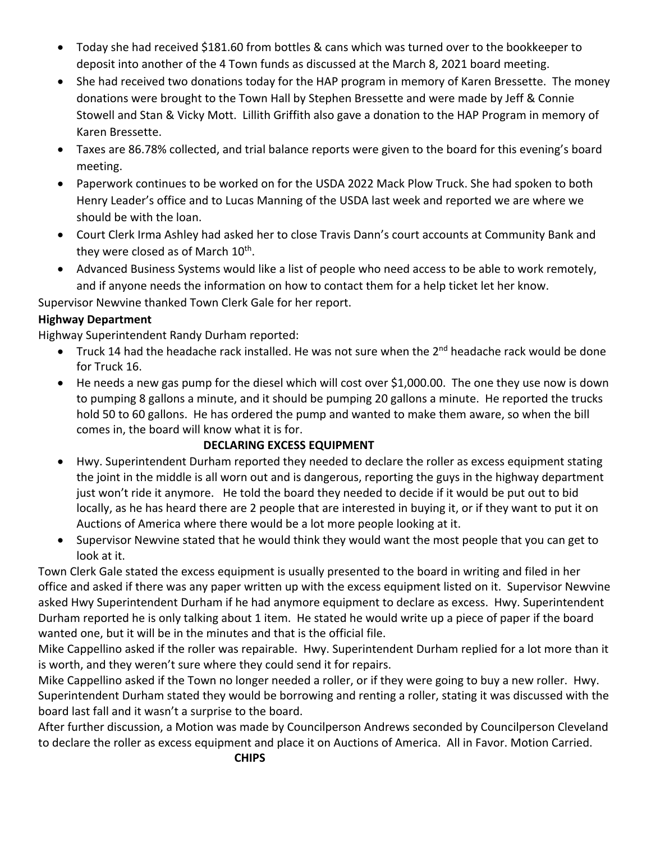- Today she had received \$181.60 from bottles & cans which was turned over to the bookkeeper to deposit into another of the 4 Town funds as discussed at the March 8, 2021 board meeting.
- She had received two donations today for the HAP program in memory of Karen Bressette. The money donations were brought to the Town Hall by Stephen Bressette and were made by Jeff & Connie Stowell and Stan & Vicky Mott. Lillith Griffith also gave a donation to the HAP Program in memory of Karen Bressette.
- Taxes are 86.78% collected, and trial balance reports were given to the board for this evening's board meeting.
- Paperwork continues to be worked on for the USDA 2022 Mack Plow Truck. She had spoken to both Henry Leader's office and to Lucas Manning of the USDA last week and reported we are where we should be with the loan.
- Court Clerk Irma Ashley had asked her to close Travis Dann's court accounts at Community Bank and they were closed as of March  $10^{th}$ .
- Advanced Business Systems would like a list of people who need access to be able to work remotely, and if anyone needs the information on how to contact them for a help ticket let her know.

Supervisor Newvine thanked Town Clerk Gale for her report.

### **Highway Department**

Highway Superintendent Randy Durham reported:

- Truck 14 had the headache rack installed. He was not sure when the 2<sup>nd</sup> headache rack would be done for Truck 16.
- He needs a new gas pump for the diesel which will cost over \$1,000.00. The one they use now is down to pumping 8 gallons a minute, and it should be pumping 20 gallons a minute. He reported the trucks hold 50 to 60 gallons. He has ordered the pump and wanted to make them aware, so when the bill comes in, the board will know what it is for.

### **DECLARING EXCESS EQUIPMENT**

- Hwy. Superintendent Durham reported they needed to declare the roller as excess equipment stating the joint in the middle is all worn out and is dangerous, reporting the guys in the highway department just won't ride it anymore. He told the board they needed to decide if it would be put out to bid locally, as he has heard there are 2 people that are interested in buying it, or if they want to put it on Auctions of America where there would be a lot more people looking at it.
- Supervisor Newvine stated that he would think they would want the most people that you can get to look at it.

Town Clerk Gale stated the excess equipment is usually presented to the board in writing and filed in her office and asked if there was any paper written up with the excess equipment listed on it. Supervisor Newvine asked Hwy Superintendent Durham if he had anymore equipment to declare as excess. Hwy. Superintendent Durham reported he is only talking about 1 item. He stated he would write up a piece of paper if the board wanted one, but it will be in the minutes and that is the official file.

Mike Cappellino asked if the roller was repairable. Hwy. Superintendent Durham replied for a lot more than it is worth, and they weren't sure where they could send it for repairs.

Mike Cappellino asked if the Town no longer needed a roller, or if they were going to buy a new roller. Hwy. Superintendent Durham stated they would be borrowing and renting a roller, stating it was discussed with the board last fall and it wasn't a surprise to the board.

After further discussion, a Motion was made by Councilperson Andrews seconded by Councilperson Cleveland to declare the roller as excess equipment and place it on Auctions of America. All in Favor. Motion Carried.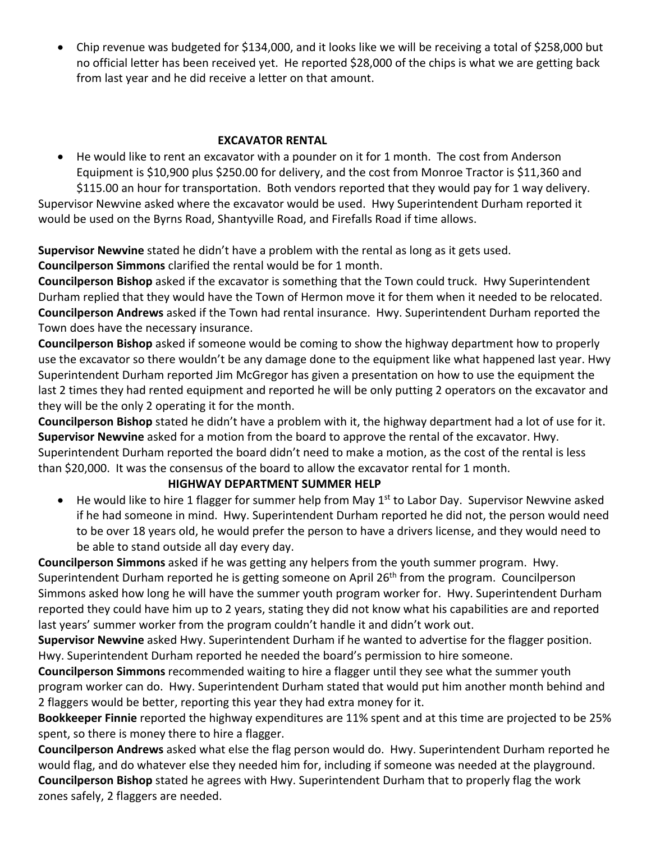• Chip revenue was budgeted for \$134,000, and it looks like we will be receiving a total of \$258,000 but no official letter has been received yet. He reported \$28,000 of the chips is what we are getting back from last year and he did receive a letter on that amount.

### **EXCAVATOR RENTAL**

• He would like to rent an excavator with a pounder on it for 1 month. The cost from Anderson Equipment is \$10,900 plus \$250.00 for delivery, and the cost from Monroe Tractor is \$11,360 and \$115.00 an hour for transportation. Both vendors reported that they would pay for 1 way delivery. Supervisor Newvine asked where the excavator would be used. Hwy Superintendent Durham reported it

would be used on the Byrns Road, Shantyville Road, and Firefalls Road if time allows.

**Supervisor Newvine** stated he didn't have a problem with the rental as long as it gets used. **Councilperson Simmons** clarified the rental would be for 1 month.

**Councilperson Bishop** asked if the excavator is something that the Town could truck. Hwy Superintendent Durham replied that they would have the Town of Hermon move it for them when it needed to be relocated. **Councilperson Andrews** asked if the Town had rental insurance. Hwy. Superintendent Durham reported the Town does have the necessary insurance.

**Councilperson Bishop** asked if someone would be coming to show the highway department how to properly use the excavator so there wouldn't be any damage done to the equipment like what happened last year. Hwy Superintendent Durham reported Jim McGregor has given a presentation on how to use the equipment the last 2 times they had rented equipment and reported he will be only putting 2 operators on the excavator and they will be the only 2 operating it for the month.

**Councilperson Bishop** stated he didn't have a problem with it, the highway department had a lot of use for it. **Supervisor Newvine** asked for a motion from the board to approve the rental of the excavator. Hwy. Superintendent Durham reported the board didn't need to make a motion, as the cost of the rental is less than \$20,000. It was the consensus of the board to allow the excavator rental for 1 month.

#### **HIGHWAY DEPARTMENT SUMMER HELP**

• He would like to hire 1 flagger for summer help from May  $1<sup>st</sup>$  to Labor Day. Supervisor Newvine asked if he had someone in mind. Hwy. Superintendent Durham reported he did not, the person would need to be over 18 years old, he would prefer the person to have a drivers license, and they would need to be able to stand outside all day every day.

**Councilperson Simmons** asked if he was getting any helpers from the youth summer program. Hwy. Superintendent Durham reported he is getting someone on April 26<sup>th</sup> from the program. Councilperson Simmons asked how long he will have the summer youth program worker for. Hwy. Superintendent Durham reported they could have him up to 2 years, stating they did not know what his capabilities are and reported last years' summer worker from the program couldn't handle it and didn't work out.

**Supervisor Newvine** asked Hwy. Superintendent Durham if he wanted to advertise for the flagger position. Hwy. Superintendent Durham reported he needed the board's permission to hire someone.

**Councilperson Simmons** recommended waiting to hire a flagger until they see what the summer youth program worker can do. Hwy. Superintendent Durham stated that would put him another month behind and 2 flaggers would be better, reporting this year they had extra money for it.

**Bookkeeper Finnie** reported the highway expenditures are 11% spent and at this time are projected to be 25% spent, so there is money there to hire a flagger.

**Councilperson Andrews** asked what else the flag person would do. Hwy. Superintendent Durham reported he would flag, and do whatever else they needed him for, including if someone was needed at the playground. **Councilperson Bishop** stated he agrees with Hwy. Superintendent Durham that to properly flag the work zones safely, 2 flaggers are needed.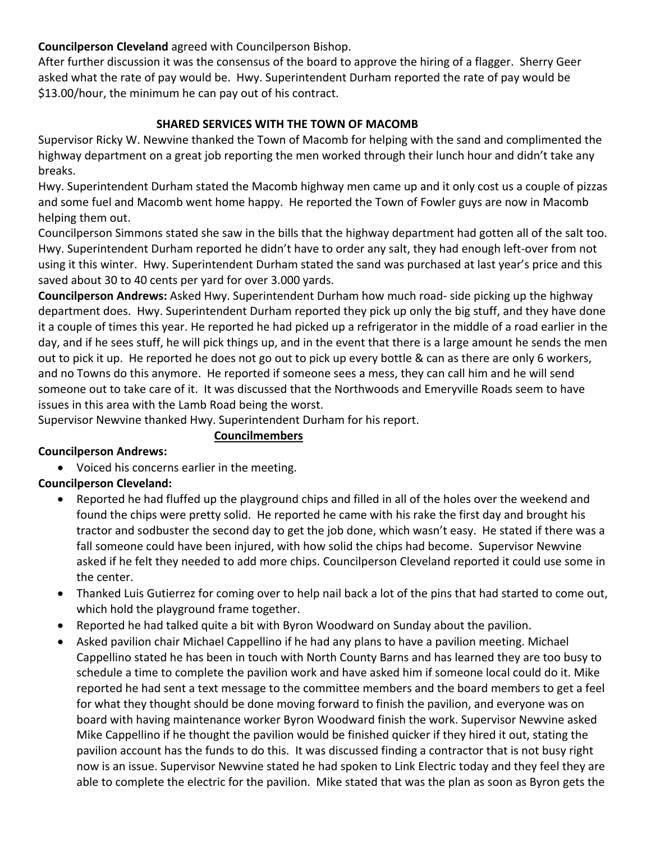### **Councilperson Cleveland** agreed with Councilperson Bishop.

After further discussion it was the consensus of the board to approve the hiring of a flagger. Sherry Geer asked what the rate of pay would be. Hwy. Superintendent Durham reported the rate of pay would be \$13.00/hour, the minimum he can pay out of his contract.

#### **SHARED SERVICES WITH THE TOWN OF MACOMB**

Supervisor Ricky W. Newvine thanked the Town of Macomb for helping with the sand and complimented the highway department on a great job reporting the men worked through their lunch hour and didn't take any breaks.

Hwy. Superintendent Durham stated the Macomb highway men came up and it only cost us a couple of pizzas and some fuel and Macomb went home happy. He reported the Town of Fowler guys are now in Macomb helping them out.

Councilperson Simmons stated she saw in the bills that the highway department had gotten all of the salt too. Hwy. Superintendent Durham reported he didn't have to order any salt, they had enough left-over from not using it this winter. Hwy. Superintendent Durham stated the sand was purchased at last year's price and this saved about 30 to 40 cents per yard for over 3.000 yards.

**Councilperson Andrews:** Asked Hwy. Superintendent Durham how much road- side picking up the highway department does. Hwy. Superintendent Durham reported they pick up only the big stuff, and they have done it a couple of times this year. He reported he had picked up a refrigerator in the middle of a road earlier in the day, and if he sees stuff, he will pick things up, and in the event that there is a large amount he sends the men out to pick it up. He reported he does not go out to pick up every bottle & can as there are only 6 workers, and no Towns do this anymore. He reported if someone sees a mess, they can call him and he will send someone out to take care of it. It was discussed that the Northwoods and Emeryville Roads seem to have issues in this area with the Lamb Road being the worst.

Supervisor Newvine thanked Hwy. Superintendent Durham for his report.

**Councilmembers**

# **Councilperson Andrews:**

• Voiced his concerns earlier in the meeting.

### **Councilperson Cleveland:**

- Reported he had fluffed up the playground chips and filled in all of the holes over the weekend and found the chips were pretty solid. He reported he came with his rake the first day and brought his tractor and sodbuster the second day to get the job done, which wasn't easy. He stated if there was a fall someone could have been injured, with how solid the chips had become. Supervisor Newvine asked if he felt they needed to add more chips. Councilperson Cleveland reported it could use some in the center.
- Thanked Luis Gutierrez for coming over to help nail back a lot of the pins that had started to come out, which hold the playground frame together.
- Reported he had talked quite a bit with Byron Woodward on Sunday about the pavilion.
- Asked pavilion chair Michael Cappellino if he had any plans to have a pavilion meeting. Michael Cappellino stated he has been in touch with North County Barns and has learned they are too busy to schedule a time to complete the pavilion work and have asked him if someone local could do it. Mike reported he had sent a text message to the committee members and the board members to get a feel for what they thought should be done moving forward to finish the pavilion, and everyone was on board with having maintenance worker Byron Woodward finish the work. Supervisor Newvine asked Mike Cappellino if he thought the pavilion would be finished quicker if they hired it out, stating the pavilion account has the funds to do this. It was discussed finding a contractor that is not busy right now is an issue. Supervisor Newvine stated he had spoken to Link Electric today and they feel they are able to complete the electric for the pavilion. Mike stated that was the plan as soon as Byron gets the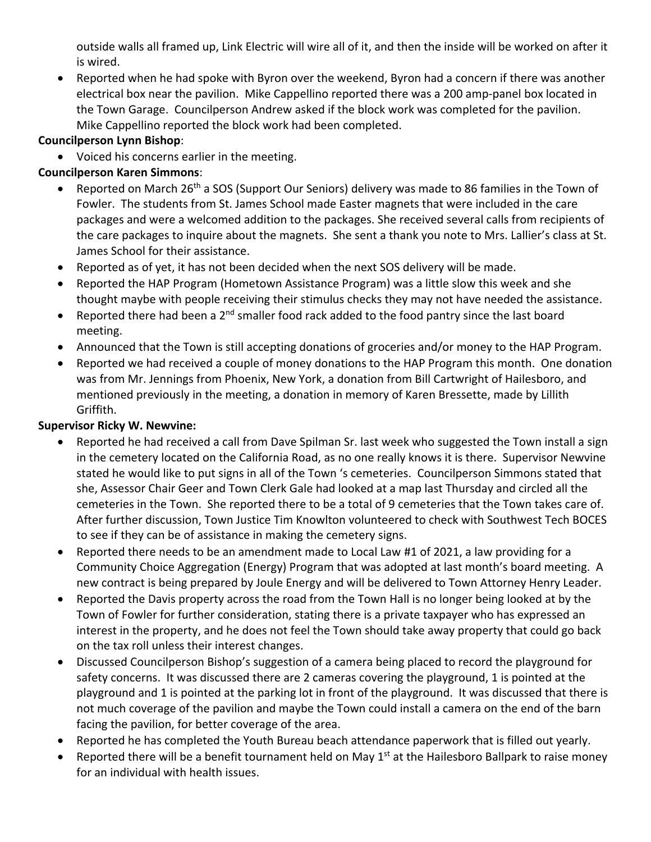outside walls all framed up, Link Electric will wire all of it, and then the inside will be worked on after it is wired.

• Reported when he had spoke with Byron over the weekend, Byron had a concern if there was another electrical box near the pavilion. Mike Cappellino reported there was a 200 amp-panel box located in the Town Garage. Councilperson Andrew asked if the block work was completed for the pavilion. Mike Cappellino reported the block work had been completed.

### **Councilperson Lynn Bishop**:

• Voiced his concerns earlier in the meeting.

### **Councilperson Karen Simmons**:

- Reported on March 26<sup>th</sup> a SOS (Support Our Seniors) delivery was made to 86 families in the Town of Fowler. The students from St. James School made Easter magnets that were included in the care packages and were a welcomed addition to the packages. She received several calls from recipients of the care packages to inquire about the magnets. She sent a thank you note to Mrs. Lallier's class at St. James School for their assistance.
- Reported as of yet, it has not been decided when the next SOS delivery will be made.
- Reported the HAP Program (Hometown Assistance Program) was a little slow this week and she thought maybe with people receiving their stimulus checks they may not have needed the assistance.
- Reported there had been a  $2^{nd}$  smaller food rack added to the food pantry since the last board meeting.
- Announced that the Town is still accepting donations of groceries and/or money to the HAP Program.
- Reported we had received a couple of money donations to the HAP Program this month. One donation was from Mr. Jennings from Phoenix, New York, a donation from Bill Cartwright of Hailesboro, and mentioned previously in the meeting, a donation in memory of Karen Bressette, made by Lillith Griffith.

#### **Supervisor Ricky W. Newvine:**

- Reported he had received a call from Dave Spilman Sr. last week who suggested the Town install a sign in the cemetery located on the California Road, as no one really knows it is there. Supervisor Newvine stated he would like to put signs in all of the Town 's cemeteries. Councilperson Simmons stated that she, Assessor Chair Geer and Town Clerk Gale had looked at a map last Thursday and circled all the cemeteries in the Town. She reported there to be a total of 9 cemeteries that the Town takes care of. After further discussion, Town Justice Tim Knowlton volunteered to check with Southwest Tech BOCES to see if they can be of assistance in making the cemetery signs.
- Reported there needs to be an amendment made to Local Law #1 of 2021, a law providing for a Community Choice Aggregation (Energy) Program that was adopted at last month's board meeting. A new contract is being prepared by Joule Energy and will be delivered to Town Attorney Henry Leader.
- Reported the Davis property across the road from the Town Hall is no longer being looked at by the Town of Fowler for further consideration, stating there is a private taxpayer who has expressed an interest in the property, and he does not feel the Town should take away property that could go back on the tax roll unless their interest changes.
- Discussed Councilperson Bishop's suggestion of a camera being placed to record the playground for safety concerns. It was discussed there are 2 cameras covering the playground, 1 is pointed at the playground and 1 is pointed at the parking lot in front of the playground. It was discussed that there is not much coverage of the pavilion and maybe the Town could install a camera on the end of the barn facing the pavilion, for better coverage of the area.
- Reported he has completed the Youth Bureau beach attendance paperwork that is filled out yearly.
- Reported there will be a benefit tournament held on May  $1<sup>st</sup>$  at the Hailesboro Ballpark to raise money for an individual with health issues.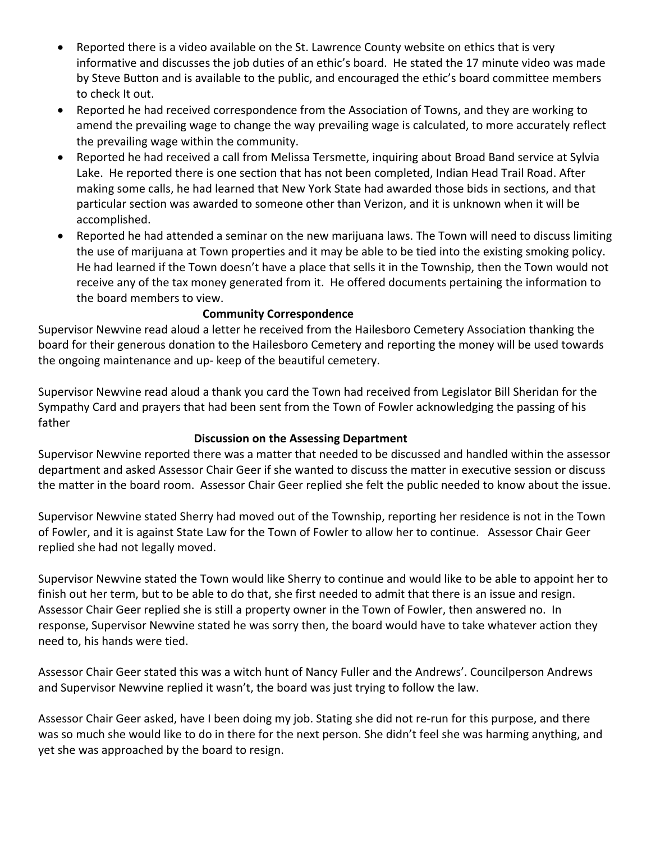- Reported there is a video available on the St. Lawrence County website on ethics that is very informative and discusses the job duties of an ethic's board. He stated the 17 minute video was made by Steve Button and is available to the public, and encouraged the ethic's board committee members to check It out.
- Reported he had received correspondence from the Association of Towns, and they are working to amend the prevailing wage to change the way prevailing wage is calculated, to more accurately reflect the prevailing wage within the community.
- Reported he had received a call from Melissa Tersmette, inquiring about Broad Band service at Sylvia Lake. He reported there is one section that has not been completed, Indian Head Trail Road. After making some calls, he had learned that New York State had awarded those bids in sections, and that particular section was awarded to someone other than Verizon, and it is unknown when it will be accomplished.
- Reported he had attended a seminar on the new marijuana laws. The Town will need to discuss limiting the use of marijuana at Town properties and it may be able to be tied into the existing smoking policy. He had learned if the Town doesn't have a place that sells it in the Township, then the Town would not receive any of the tax money generated from it. He offered documents pertaining the information to the board members to view.

#### **Community Correspondence**

Supervisor Newvine read aloud a letter he received from the Hailesboro Cemetery Association thanking the board for their generous donation to the Hailesboro Cemetery and reporting the money will be used towards the ongoing maintenance and up- keep of the beautiful cemetery.

Supervisor Newvine read aloud a thank you card the Town had received from Legislator Bill Sheridan for the Sympathy Card and prayers that had been sent from the Town of Fowler acknowledging the passing of his father

#### **Discussion on the Assessing Department**

Supervisor Newvine reported there was a matter that needed to be discussed and handled within the assessor department and asked Assessor Chair Geer if she wanted to discuss the matter in executive session or discuss the matter in the board room. Assessor Chair Geer replied she felt the public needed to know about the issue.

Supervisor Newvine stated Sherry had moved out of the Township, reporting her residence is not in the Town of Fowler, and it is against State Law for the Town of Fowler to allow her to continue. Assessor Chair Geer replied she had not legally moved.

Supervisor Newvine stated the Town would like Sherry to continue and would like to be able to appoint her to finish out her term, but to be able to do that, she first needed to admit that there is an issue and resign. Assessor Chair Geer replied she is still a property owner in the Town of Fowler, then answered no. In response, Supervisor Newvine stated he was sorry then, the board would have to take whatever action they need to, his hands were tied.

Assessor Chair Geer stated this was a witch hunt of Nancy Fuller and the Andrews'. Councilperson Andrews and Supervisor Newvine replied it wasn't, the board was just trying to follow the law.

Assessor Chair Geer asked, have I been doing my job. Stating she did not re-run for this purpose, and there was so much she would like to do in there for the next person. She didn't feel she was harming anything, and yet she was approached by the board to resign.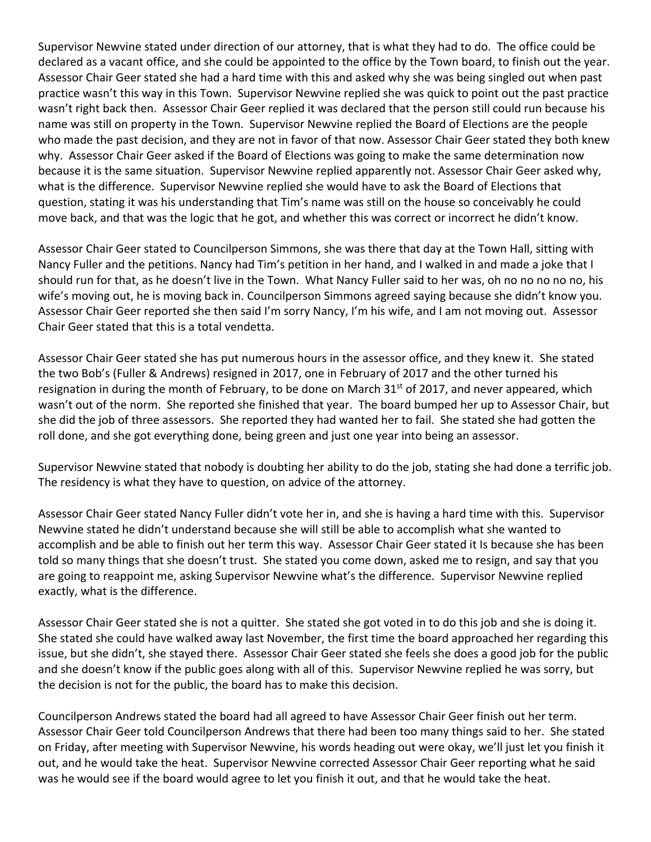Supervisor Newvine stated under direction of our attorney, that is what they had to do. The office could be declared as a vacant office, and she could be appointed to the office by the Town board, to finish out the year. Assessor Chair Geer stated she had a hard time with this and asked why she was being singled out when past practice wasn't this way in this Town. Supervisor Newvine replied she was quick to point out the past practice wasn't right back then. Assessor Chair Geer replied it was declared that the person still could run because his name was still on property in the Town. Supervisor Newvine replied the Board of Elections are the people who made the past decision, and they are not in favor of that now. Assessor Chair Geer stated they both knew why. Assessor Chair Geer asked if the Board of Elections was going to make the same determination now because it is the same situation. Supervisor Newvine replied apparently not. Assessor Chair Geer asked why, what is the difference. Supervisor Newvine replied she would have to ask the Board of Elections that question, stating it was his understanding that Tim's name was still on the house so conceivably he could move back, and that was the logic that he got, and whether this was correct or incorrect he didn't know.

Assessor Chair Geer stated to Councilperson Simmons, she was there that day at the Town Hall, sitting with Nancy Fuller and the petitions. Nancy had Tim's petition in her hand, and I walked in and made a joke that I should run for that, as he doesn't live in the Town. What Nancy Fuller said to her was, oh no no no no no, his wife's moving out, he is moving back in. Councilperson Simmons agreed saying because she didn't know you. Assessor Chair Geer reported she then said I'm sorry Nancy, I'm his wife, and I am not moving out. Assessor Chair Geer stated that this is a total vendetta.

Assessor Chair Geer stated she has put numerous hours in the assessor office, and they knew it. She stated the two Bob's (Fuller & Andrews) resigned in 2017, one in February of 2017 and the other turned his resignation in during the month of February, to be done on March 31st of 2017, and never appeared, which wasn't out of the norm. She reported she finished that year. The board bumped her up to Assessor Chair, but she did the job of three assessors. She reported they had wanted her to fail. She stated she had gotten the roll done, and she got everything done, being green and just one year into being an assessor.

Supervisor Newvine stated that nobody is doubting her ability to do the job, stating she had done a terrific job. The residency is what they have to question, on advice of the attorney.

Assessor Chair Geer stated Nancy Fuller didn't vote her in, and she is having a hard time with this. Supervisor Newvine stated he didn't understand because she will still be able to accomplish what she wanted to accomplish and be able to finish out her term this way. Assessor Chair Geer stated it Is because she has been told so many things that she doesn't trust. She stated you come down, asked me to resign, and say that you are going to reappoint me, asking Supervisor Newvine what's the difference. Supervisor Newvine replied exactly, what is the difference.

Assessor Chair Geer stated she is not a quitter. She stated she got voted in to do this job and she is doing it. She stated she could have walked away last November, the first time the board approached her regarding this issue, but she didn't, she stayed there. Assessor Chair Geer stated she feels she does a good job for the public and she doesn't know if the public goes along with all of this. Supervisor Newvine replied he was sorry, but the decision is not for the public, the board has to make this decision.

Councilperson Andrews stated the board had all agreed to have Assessor Chair Geer finish out her term. Assessor Chair Geer told Councilperson Andrews that there had been too many things said to her. She stated on Friday, after meeting with Supervisor Newvine, his words heading out were okay, we'll just let you finish it out, and he would take the heat. Supervisor Newvine corrected Assessor Chair Geer reporting what he said was he would see if the board would agree to let you finish it out, and that he would take the heat.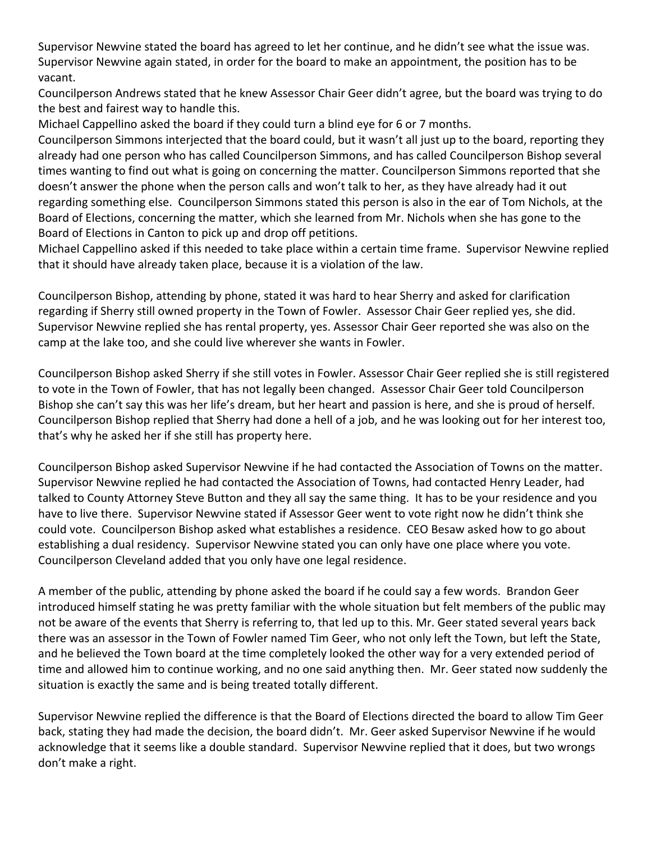Supervisor Newvine stated the board has agreed to let her continue, and he didn't see what the issue was. Supervisor Newvine again stated, in order for the board to make an appointment, the position has to be vacant.

Councilperson Andrews stated that he knew Assessor Chair Geer didn't agree, but the board was trying to do the best and fairest way to handle this.

Michael Cappellino asked the board if they could turn a blind eye for 6 or 7 months.

Councilperson Simmons interjected that the board could, but it wasn't all just up to the board, reporting they already had one person who has called Councilperson Simmons, and has called Councilperson Bishop several times wanting to find out what is going on concerning the matter. Councilperson Simmons reported that she doesn't answer the phone when the person calls and won't talk to her, as they have already had it out regarding something else. Councilperson Simmons stated this person is also in the ear of Tom Nichols, at the Board of Elections, concerning the matter, which she learned from Mr. Nichols when she has gone to the Board of Elections in Canton to pick up and drop off petitions.

Michael Cappellino asked if this needed to take place within a certain time frame. Supervisor Newvine replied that it should have already taken place, because it is a violation of the law.

Councilperson Bishop, attending by phone, stated it was hard to hear Sherry and asked for clarification regarding if Sherry still owned property in the Town of Fowler. Assessor Chair Geer replied yes, she did. Supervisor Newvine replied she has rental property, yes. Assessor Chair Geer reported she was also on the camp at the lake too, and she could live wherever she wants in Fowler.

Councilperson Bishop asked Sherry if she still votes in Fowler. Assessor Chair Geer replied she is still registered to vote in the Town of Fowler, that has not legally been changed. Assessor Chair Geer told Councilperson Bishop she can't say this was her life's dream, but her heart and passion is here, and she is proud of herself. Councilperson Bishop replied that Sherry had done a hell of a job, and he was looking out for her interest too, that's why he asked her if she still has property here.

Councilperson Bishop asked Supervisor Newvine if he had contacted the Association of Towns on the matter. Supervisor Newvine replied he had contacted the Association of Towns, had contacted Henry Leader, had talked to County Attorney Steve Button and they all say the same thing. It has to be your residence and you have to live there. Supervisor Newvine stated if Assessor Geer went to vote right now he didn't think she could vote. Councilperson Bishop asked what establishes a residence. CEO Besaw asked how to go about establishing a dual residency. Supervisor Newvine stated you can only have one place where you vote. Councilperson Cleveland added that you only have one legal residence.

A member of the public, attending by phone asked the board if he could say a few words. Brandon Geer introduced himself stating he was pretty familiar with the whole situation but felt members of the public may not be aware of the events that Sherry is referring to, that led up to this. Mr. Geer stated several years back there was an assessor in the Town of Fowler named Tim Geer, who not only left the Town, but left the State, and he believed the Town board at the time completely looked the other way for a very extended period of time and allowed him to continue working, and no one said anything then. Mr. Geer stated now suddenly the situation is exactly the same and is being treated totally different.

Supervisor Newvine replied the difference is that the Board of Elections directed the board to allow Tim Geer back, stating they had made the decision, the board didn't. Mr. Geer asked Supervisor Newvine if he would acknowledge that it seems like a double standard. Supervisor Newvine replied that it does, but two wrongs don't make a right.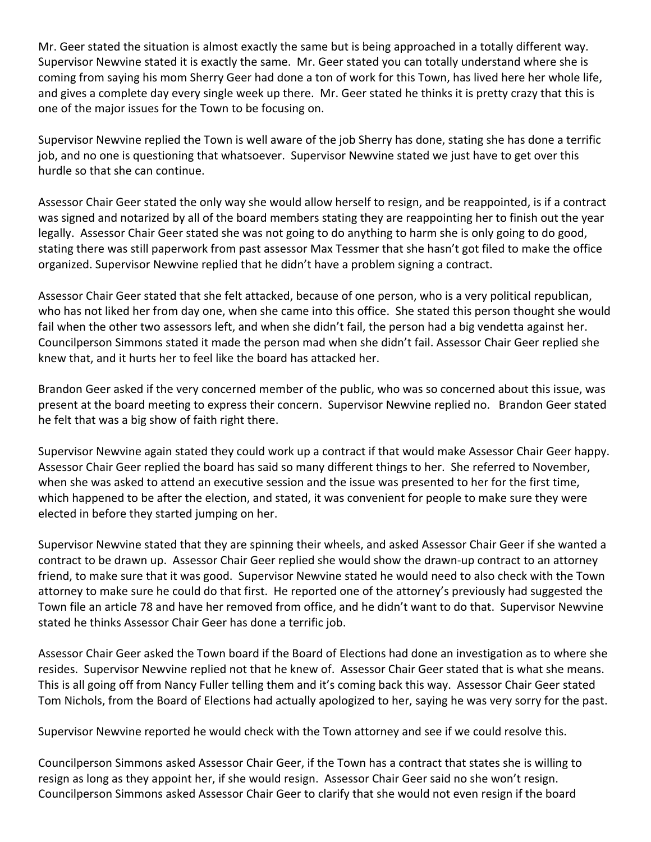Mr. Geer stated the situation is almost exactly the same but is being approached in a totally different way. Supervisor Newvine stated it is exactly the same. Mr. Geer stated you can totally understand where she is coming from saying his mom Sherry Geer had done a ton of work for this Town, has lived here her whole life, and gives a complete day every single week up there. Mr. Geer stated he thinks it is pretty crazy that this is one of the major issues for the Town to be focusing on.

Supervisor Newvine replied the Town is well aware of the job Sherry has done, stating she has done a terrific job, and no one is questioning that whatsoever. Supervisor Newvine stated we just have to get over this hurdle so that she can continue.

Assessor Chair Geer stated the only way she would allow herself to resign, and be reappointed, is if a contract was signed and notarized by all of the board members stating they are reappointing her to finish out the year legally. Assessor Chair Geer stated she was not going to do anything to harm she is only going to do good, stating there was still paperwork from past assessor Max Tessmer that she hasn't got filed to make the office organized. Supervisor Newvine replied that he didn't have a problem signing a contract.

Assessor Chair Geer stated that she felt attacked, because of one person, who is a very political republican, who has not liked her from day one, when she came into this office. She stated this person thought she would fail when the other two assessors left, and when she didn't fail, the person had a big vendetta against her. Councilperson Simmons stated it made the person mad when she didn't fail. Assessor Chair Geer replied she knew that, and it hurts her to feel like the board has attacked her.

Brandon Geer asked if the very concerned member of the public, who was so concerned about this issue, was present at the board meeting to express their concern. Supervisor Newvine replied no. Brandon Geer stated he felt that was a big show of faith right there.

Supervisor Newvine again stated they could work up a contract if that would make Assessor Chair Geer happy. Assessor Chair Geer replied the board has said so many different things to her. She referred to November, when she was asked to attend an executive session and the issue was presented to her for the first time, which happened to be after the election, and stated, it was convenient for people to make sure they were elected in before they started jumping on her.

Supervisor Newvine stated that they are spinning their wheels, and asked Assessor Chair Geer if she wanted a contract to be drawn up. Assessor Chair Geer replied she would show the drawn-up contract to an attorney friend, to make sure that it was good. Supervisor Newvine stated he would need to also check with the Town attorney to make sure he could do that first. He reported one of the attorney's previously had suggested the Town file an article 78 and have her removed from office, and he didn't want to do that. Supervisor Newvine stated he thinks Assessor Chair Geer has done a terrific job.

Assessor Chair Geer asked the Town board if the Board of Elections had done an investigation as to where she resides. Supervisor Newvine replied not that he knew of. Assessor Chair Geer stated that is what she means. This is all going off from Nancy Fuller telling them and it's coming back this way. Assessor Chair Geer stated Tom Nichols, from the Board of Elections had actually apologized to her, saying he was very sorry for the past.

Supervisor Newvine reported he would check with the Town attorney and see if we could resolve this.

Councilperson Simmons asked Assessor Chair Geer, if the Town has a contract that states she is willing to resign as long as they appoint her, if she would resign. Assessor Chair Geer said no she won't resign. Councilperson Simmons asked Assessor Chair Geer to clarify that she would not even resign if the board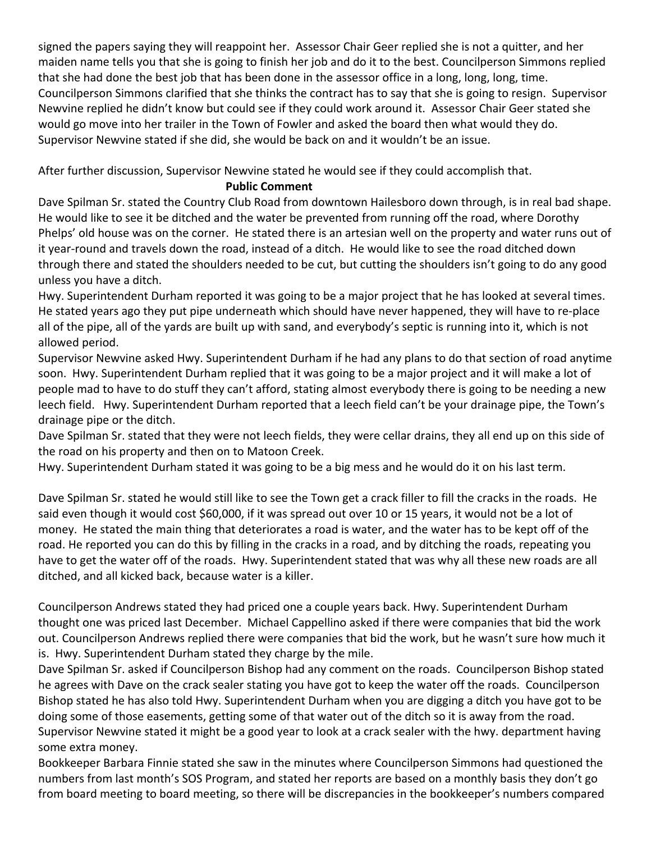signed the papers saying they will reappoint her. Assessor Chair Geer replied she is not a quitter, and her maiden name tells you that she is going to finish her job and do it to the best. Councilperson Simmons replied that she had done the best job that has been done in the assessor office in a long, long, long, time. Councilperson Simmons clarified that she thinks the contract has to say that she is going to resign. Supervisor Newvine replied he didn't know but could see if they could work around it. Assessor Chair Geer stated she would go move into her trailer in the Town of Fowler and asked the board then what would they do. Supervisor Newvine stated if she did, she would be back on and it wouldn't be an issue.

After further discussion, Supervisor Newvine stated he would see if they could accomplish that.

### **Public Comment**

Dave Spilman Sr. stated the Country Club Road from downtown Hailesboro down through, is in real bad shape. He would like to see it be ditched and the water be prevented from running off the road, where Dorothy Phelps' old house was on the corner. He stated there is an artesian well on the property and water runs out of it year-round and travels down the road, instead of a ditch. He would like to see the road ditched down through there and stated the shoulders needed to be cut, but cutting the shoulders isn't going to do any good unless you have a ditch.

Hwy. Superintendent Durham reported it was going to be a major project that he has looked at several times. He stated years ago they put pipe underneath which should have never happened, they will have to re-place all of the pipe, all of the yards are built up with sand, and everybody's septic is running into it, which is not allowed period.

Supervisor Newvine asked Hwy. Superintendent Durham if he had any plans to do that section of road anytime soon. Hwy. Superintendent Durham replied that it was going to be a major project and it will make a lot of people mad to have to do stuff they can't afford, stating almost everybody there is going to be needing a new leech field. Hwy. Superintendent Durham reported that a leech field can't be your drainage pipe, the Town's drainage pipe or the ditch.

Dave Spilman Sr. stated that they were not leech fields, they were cellar drains, they all end up on this side of the road on his property and then on to Matoon Creek.

Hwy. Superintendent Durham stated it was going to be a big mess and he would do it on his last term.

Dave Spilman Sr. stated he would still like to see the Town get a crack filler to fill the cracks in the roads. He said even though it would cost \$60,000, if it was spread out over 10 or 15 years, it would not be a lot of money. He stated the main thing that deteriorates a road is water, and the water has to be kept off of the road. He reported you can do this by filling in the cracks in a road, and by ditching the roads, repeating you have to get the water off of the roads. Hwy. Superintendent stated that was why all these new roads are all ditched, and all kicked back, because water is a killer.

Councilperson Andrews stated they had priced one a couple years back. Hwy. Superintendent Durham thought one was priced last December. Michael Cappellino asked if there were companies that bid the work out. Councilperson Andrews replied there were companies that bid the work, but he wasn't sure how much it is. Hwy. Superintendent Durham stated they charge by the mile.

Dave Spilman Sr. asked if Councilperson Bishop had any comment on the roads. Councilperson Bishop stated he agrees with Dave on the crack sealer stating you have got to keep the water off the roads. Councilperson Bishop stated he has also told Hwy. Superintendent Durham when you are digging a ditch you have got to be doing some of those easements, getting some of that water out of the ditch so it is away from the road. Supervisor Newvine stated it might be a good year to look at a crack sealer with the hwy. department having some extra money.

Bookkeeper Barbara Finnie stated she saw in the minutes where Councilperson Simmons had questioned the numbers from last month's SOS Program, and stated her reports are based on a monthly basis they don't go from board meeting to board meeting, so there will be discrepancies in the bookkeeper's numbers compared